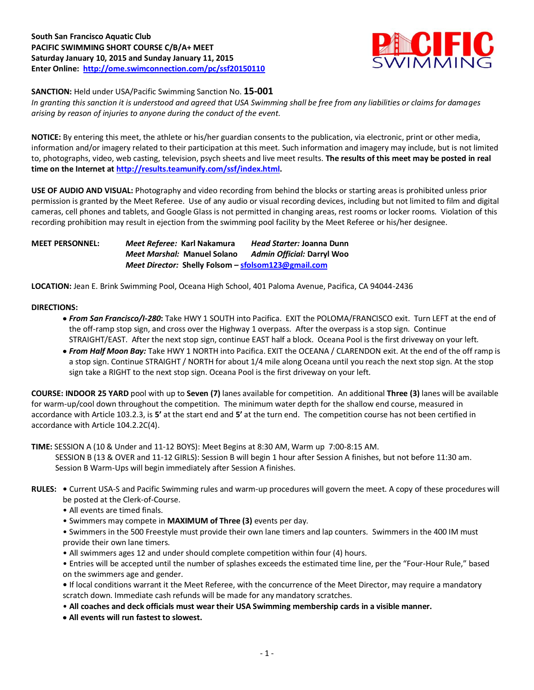

## **SANCTION:** Held under USA/Pacific Swimming Sanction No. **15-001**

*In granting this sanction it is understood and agreed that USA Swimming shall be free from any liabilities or claims for damages arising by reason of injuries to anyone during the conduct of the event.*

**NOTICE:** By entering this meet, the athlete or his/her guardian consents to the publication, via electronic, print or other media, information and/or imagery related to their participation at this meet. Such information and imagery may include, but is not limited to, photographs, video, web casting, television, psych sheets and live meet results. **The results of this meet may be posted in real time on the Internet a[t http://results.teamunify.com/ssf/index.html.](http://results.teamunify.com/ssf/index.html)**

**USE OF AUDIO AND VISUAL:** Photography and video recording from behind the blocks or starting areas is prohibited unless prior permission is granted by the Meet Referee. Use of any audio or visual recording devices, including but not limited to film and digital cameras, cell phones and tablets, and Google Glass is not permitted in changing areas, rest rooms or locker rooms. Violation of this recording prohibition may result in ejection from the swimming pool facility by the Meet Referee or his/her designee.

### **MEET PERSONNEL:** *Meet Referee:* **Karl Nakamura** *Head Starter:* **Joanna Dunn** *Meet Marshal:* **Manuel Solano** *Admin Official:* **Darryl Woo** *Meet Director:* **Shelly Folsom – [sfolsom123@gmail.com](mailto:sfolsom123@gmail.com)**

**LOCATION:** Jean E. Brink Swimming Pool, Oceana High School, 401 Paloma Avenue, Pacifica, CA 94044-2436

#### **DIRECTIONS:**

- *From San Francisco/I-280***:** Take HWY 1 SOUTH into Pacifica. EXIT the POLOMA/FRANCISCO exit. Turn LEFT at the end of the off-ramp stop sign, and cross over the Highway 1 overpass. After the overpass is a stop sign. Continue STRAIGHT/EAST. After the next stop sign, continue EAST half a block. Oceana Pool is the first driveway on your left.
- *From Half Moon Bay:* Take HWY 1 NORTH into Pacifica. EXIT the OCEANA / CLARENDON exit. At the end of the off ramp is a stop sign. Continue STRAIGHT / NORTH for about 1/4 mile along Oceana until you reach the next stop sign. At the stop sign take a RIGHT to the next stop sign. Oceana Pool is the first driveway on your left.

**COURSE: INDOOR 25 YARD** pool with up to **Seven (7)** lanes available for competition.An additional **Three (3)** lanes will be available for warm-up/cool down throughout the competition. The minimum water depth for the shallow end course, measured in accordance with Article 103.2.3, is **5'** at the start end and **5'** at the turn end. The competition course has not been certified in accordance with Article 104.2.2C(4).

**TIME:** SESSION A (10 & Under and 11-12 BOYS): Meet Begins at 8:30 AM, Warm up 7:00-8:15 AM. SESSION B (13 & OVER and 11-12 GIRLS): Session B will begin 1 hour after Session A finishes, but not before 11:30 am. Session B Warm-Ups will begin immediately after Session A finishes.

- **RULES:** Current USA-S and Pacific Swimming rules and warm-up procedures will govern the meet. A copy of these procedures will be posted at the Clerk-of-Course.
	- All events are timed finals.
	- Swimmers may compete in **MAXIMUM of Three (3)** events per day.
	- Swimmers in the 500 Freestyle must provide their own lane timers and lap counters. Swimmers in the 400 IM must provide their own lane timers.
	- All swimmers ages 12 and under should complete competition within four (4) hours.
	- Entries will be accepted until the number of splashes exceeds the estimated time line, per the "Four-Hour Rule," based on the swimmers age and gender.
	- If local conditions warrant it the Meet Referee, with the concurrence of the Meet Director, may require a mandatory scratch down. Immediate cash refunds will be made for any mandatory scratches.
	- **All coaches and deck officials must wear their USA Swimming membership cards in a visible manner.**
	- **All events will run fastest to slowest.**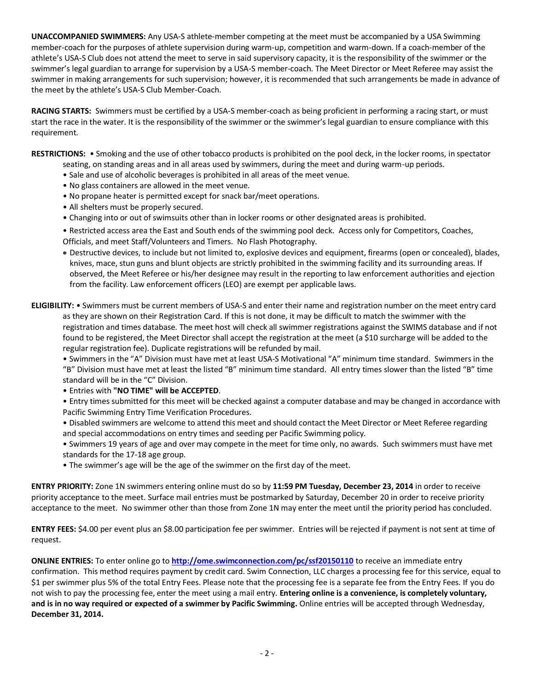**UNACCOMPANIED SWIMMERS:** Any USA-S athlete-member competing at the meet must be accompanied by a USA Swimming member-coach for the purposes of athlete supervision during warm-up, competition and warm-down. If a coach-member of the athlete's USA-S Club does not attend the meet to serve in said supervisory capacity, it is the responsibility of the swimmer or the swimmer's legal guardian to arrange for supervision by a USA-S member-coach. The Meet Director or Meet Referee may assist the swimmer in making arrangements for such supervision; however, it is recommended that such arrangements be made in advance of the meet by the athlete's USA-S Club Member-Coach.

**RACING STARTS:** Swimmers must be certified by a USA-S member-coach as being proficient in performing a racing start, or must start the race in the water. It is the responsibility of the swimmer or the swimmer's legal guardian to ensure compliance with this requirement.

**RESTRICTIONS:** • Smoking and the use of other tobacco products is prohibited on the pool deck, in the locker rooms, in spectator

- seating, on standing areas and in all areas used by swimmers, during the meet and during warm-up periods. • Sale and use of alcoholic beverages is prohibited in all areas of the meet venue.
- No glass containers are allowed in the meet venue.
- No propane heater is permitted except for snack bar/meet operations.
- All shelters must be properly secured.
- Changing into or out of swimsuits other than in locker rooms or other designated areas is prohibited.
- Restricted access area the East and South ends of the swimming pool deck. Access only for Competitors, Coaches, Officials, and meet Staff/Volunteers and Timers. No Flash Photography.
- Destructive devices, to include but not limited to, explosive devices and equipment, firearms (open or concealed), blades, knives, mace, stun guns and blunt objects are strictly prohibited in the swimming facility and its surrounding areas. If observed, the Meet Referee or his/her designee may result in the reporting to law enforcement authorities and ejection from the facility. Law enforcement officers (LEO) are exempt per applicable laws.

# **ELIGIBILITY:** • Swimmers must be current members of USA-S and enter their name and registration number on the meet entry card as they are shown on their Registration Card. If this is not done, it may be difficult to match the swimmer with the registration and times database. The meet host will check all swimmer registrations against the SWIMS database and if not found to be registered, the Meet Director shall accept the registration at the meet (a \$10 surcharge will be added to the regular registration fee). Duplicate registrations will be refunded by mail.

• Swimmers in the "A" Division must have met at least USA-S Motivational "A" minimum time standard. Swimmers in the "B" Division must have met at least the listed "B" minimum time standard. All entry times slower than the listed "B" time standard will be in the "C" Division.

• Entries with **"NO TIME" will be ACCEPTED**.

• Entry times submitted for this meet will be checked against a computer database and may be changed in accordance with Pacific Swimming Entry Time Verification Procedures.

- Disabled swimmers are welcome to attend this meet and should contact the Meet Director or Meet Referee regarding and special accommodations on entry times and seeding per Pacific Swimming policy.
- Swimmers 19 years of age and over may compete in the meet for time only, no awards. Such swimmers must have met standards for the 17-18 age group.
- The swimmer's age will be the age of the swimmer on the first day of the meet.

**ENTRY PRIORITY:** Zone 1N swimmers entering online must do so by **11:59 PM Tuesday, December 23, 2014** in order to receive priority acceptance to the meet. Surface mail entries must be postmarked by Saturday, December 20 in order to receive priority acceptance to the meet. No swimmer other than those from Zone 1N may enter the meet until the priority period has concluded.

**ENTRY FEES:** \$4.00 per event plus an \$8.00 participation fee per swimmer. Entries will be rejected if payment is not sent at time of request.

**ONLINE ENTRIES:** To enter online go to **<http://ome.swimconnection.com/pc/ssf20150110>** to receive an immediate entry confirmation. This method requires payment by credit card. Swim Connection, LLC charges a processing fee for this service, equal to \$1 per swimmer plus 5% of the total Entry Fees. Please note that the processing fee is a separate fee from the Entry Fees. If you do not wish to pay the processing fee, enter the meet using a mail entry. **Entering online is a convenience, is completely voluntary, and is in no way required or expected of a swimmer by Pacific Swimming.** Online entries will be accepted through Wednesday, **December 31, 2014.**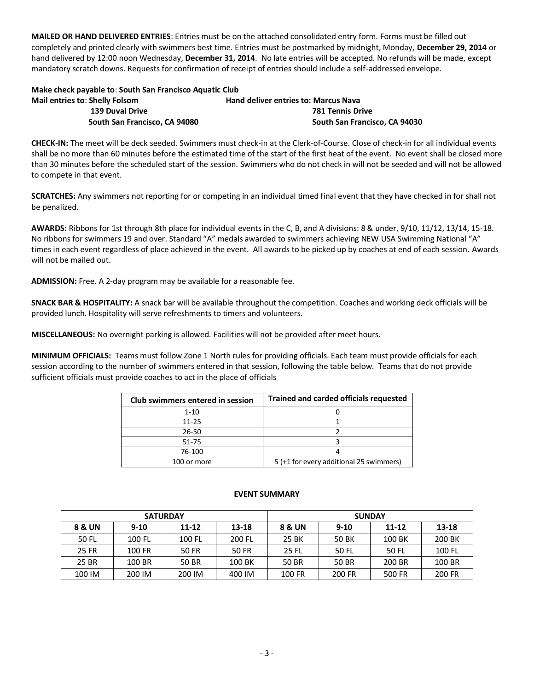**MAILED OR HAND DELIVERED ENTRIES**: Entries must be on the attached consolidated entry form. Forms must be filled out completely and printed clearly with swimmers best time. Entries must be postmarked by midnight, Monday, **December 29, 2014** or hand delivered by 12:00 noon Wednesday, **December 31, 2014**. No late entries will be accepted. No refunds will be made, except mandatory scratch downs. Requests for confirmation of receipt of entries should include a self-addressed envelope.

# **Make check payable to**: **South San Francisco Aquatic Club Mail entries to: Shelly Folsom Hand deliver entries to: Marcus Nava 139 Duval Drive 781 Tennis Drive South San Francisco, CA 94080 South San Francisco, CA 94030**

**CHECK-IN:** The meet will be deck seeded. Swimmers must check-in at the Clerk-of-Course. Close of check-in for all individual events shall be no more than 60 minutes before the estimated time of the start of the first heat of the event. No event shall be closed more than 30 minutes before the scheduled start of the session. Swimmers who do not check in will not be seeded and will not be allowed to compete in that event.

**SCRATCHES:** Any swimmers not reporting for or competing in an individual timed final event that they have checked in for shall not be penalized.

**AWARDS:** Ribbons for 1st through 8th place for individual events in the C, B, and A divisions: 8 & under, 9/10, 11/12, 13/14, 15-18. No ribbons for swimmers 19 and over. Standard "A" medals awarded to swimmers achieving NEW USA Swimming National "A" times in each event regardless of place achieved in the event. All awards to be picked up by coaches at end of each session. Awards will not be mailed out.

**ADMISSION:** Free. A 2-day program may be available for a reasonable fee.

**SNACK BAR & HOSPITALITY:** A snack bar will be available throughout the competition. Coaches and working deck officials will be provided lunch. Hospitality will serve refreshments to timers and volunteers.

**MISCELLANEOUS:** No overnight parking is allowed. Facilities will not be provided after meet hours.

**MINIMUM OFFICIALS:** Teams must follow Zone 1 North rules for providing officials. Each team must provide officials for each session according to the number of swimmers entered in that session, following the table below. Teams that do not provide sufficient officials must provide coaches to act in the place of officials

| Club swimmers entered in session | <b>Trained and carded officials requested</b> |  |  |  |  |  |  |
|----------------------------------|-----------------------------------------------|--|--|--|--|--|--|
| $1 - 10$                         |                                               |  |  |  |  |  |  |
| $11 - 25$                        |                                               |  |  |  |  |  |  |
| 26-50                            |                                               |  |  |  |  |  |  |
| $51 - 75$                        |                                               |  |  |  |  |  |  |
| 76-100                           |                                               |  |  |  |  |  |  |
| 100 or more                      | 5 (+1 for every additional 25 swimmers)       |  |  |  |  |  |  |

#### **EVENT SUMMARY**

|        | <b>SATURDAY</b> |           |        | <b>SUNDAY</b> |          |           |           |  |  |  |
|--------|-----------------|-----------|--------|---------------|----------|-----------|-----------|--|--|--|
| 8 & UN | $9-10$          | $11 - 12$ | 13-18  |               | $9 - 10$ | $11 - 12$ | $13 - 18$ |  |  |  |
| 50 FL  | 100 FL          | 100 FL    | 200 FL | 25 BK         | 50 BK    | 100 BK    | 200 BK    |  |  |  |
| 25 FR  | 100 FR          | 50 FR     | 50 FR  | 25 FL         | 50 FL    | 50 FL     | 100 FL    |  |  |  |
| 25 BR  | 100 BR          | 50 BR     | 100 BK | 50 BR         | 50 BR    | 200 BR    | 100 BR    |  |  |  |
| 100 IM | 200 IM          | 200 IM    | 400 IM | 100 FR        | 200 FR   | 500 FR    | 200 FR    |  |  |  |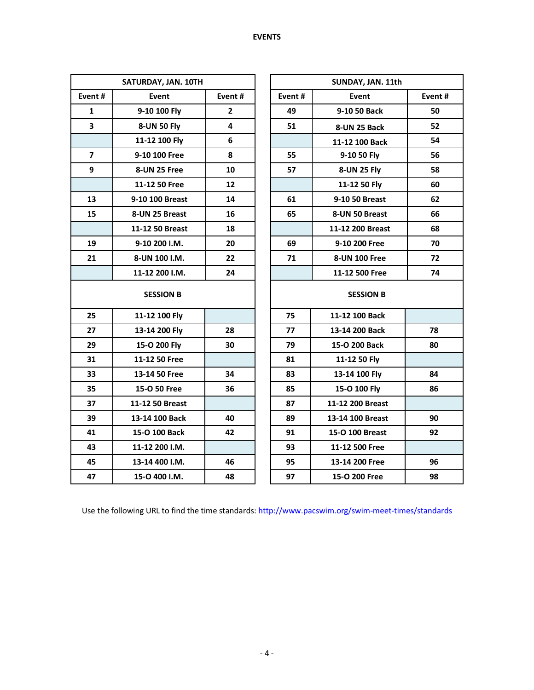|                         | SATURDAY, JAN. 10TH |                         |        | SUNDAY, JAN. 11th |        |
|-------------------------|---------------------|-------------------------|--------|-------------------|--------|
| Event#                  | Event               | Event#                  | Event# | Event             | Event# |
| $\mathbf{1}$            | 9-10 100 Fly        | $\mathbf{2}$            | 49     | 9-10 50 Back      | 50     |
| $\overline{\mathbf{3}}$ | 8-UN 50 Fly         | $\overline{\mathbf{4}}$ | 51     | 8-UN 25 Back      | 52     |
|                         | 11-12 100 Fly       | 6                       |        | 11-12 100 Back    | 54     |
| $\overline{7}$          | 9-10 100 Free       | 8                       | 55     | 9-10 50 Fly       | 56     |
| 9                       | 8-UN 25 Free        | 10                      | 57     | 8-UN 25 Fly       | 58     |
|                         | 11-12 50 Free       | 12                      |        | 11-12 50 Fly      | 60     |
| 13                      | 9-10 100 Breast     | 14                      | 61     | 9-10 50 Breast    | 62     |
| 15                      | 8-UN 25 Breast      | 16                      | 65     | 8-UN 50 Breast    | 66     |
|                         | 11-12 50 Breast     | 18                      |        | 11-12 200 Breast  | 68     |
| 19                      | 9-10 200 I.M.       | 20                      | 69     | 9-10 200 Free     | 70     |
| 21                      | 8-UN 100 I.M.       | 22                      | 71     | 8-UN 100 Free     | 72     |
|                         | 11-12 200 I.M.      | 24                      |        | 11-12 500 Free    | 74     |
|                         | <b>SESSION B</b>    |                         |        | <b>SESSION B</b>  |        |
| 25                      | 11-12 100 Fly       |                         | 75     | 11-12 100 Back    |        |
| 27                      | 13-14 200 Fly       | 28                      | 77     | 13-14 200 Back    | 78     |
| 29                      | 15-O 200 Fly        | 30                      | 79     | 15-O 200 Back     | 80     |
| 31                      | 11-12 50 Free       |                         | 81     | 11-12 50 Fly      |        |
| 33                      | 13-14 50 Free       | 34                      | 83     | 13-14 100 Fly     | 84     |
| 35                      | 15-O 50 Free        | 36                      | 85     | 15-O 100 Fly      | 86     |
| 37                      | 11-12 50 Breast     |                         | 87     | 11-12 200 Breast  |        |
| 39                      | 13-14 100 Back      | 40                      | 89     | 13-14 100 Breast  | 90     |
| 41                      | 15-O 100 Back       | 42                      | 91     | 15-O 100 Breast   | 92     |
| 43                      | 11-12 200 I.M.      |                         | 93     | 11-12 500 Free    |        |
| 45                      | 13-14 400 I.M.      | 46                      | 95     | 13-14 200 Free    | 96     |
| 47                      | 15-O 400 I.M.       | 48                      | 97     | 15-O 200 Free     | 98     |

Use the following URL to find the time standards: http://www.pacswim.org/swim-meet-times/standards